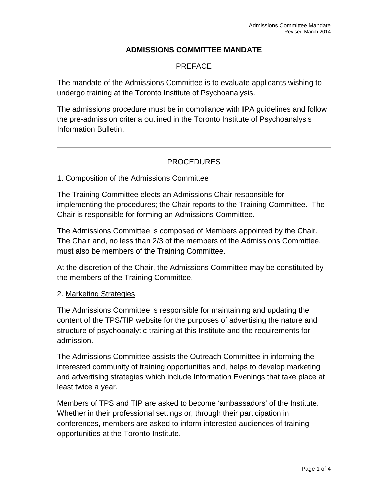# **ADMISSIONS COMMITTEE MANDATE**

# PREFACE

The mandate of the Admissions Committee is to evaluate applicants wishing to undergo training at the Toronto Institute of Psychoanalysis.

The admissions procedure must be in compliance with IPA guidelines and follow the pre-admission criteria outlined in the Toronto Institute of Psychoanalysis Information Bulletin.

# PROCEDURES

#### 1. Composition of the Admissions Committee

The Training Committee elects an Admissions Chair responsible for implementing the procedures; the Chair reports to the Training Committee. The Chair is responsible for forming an Admissions Committee.

The Admissions Committee is composed of Members appointed by the Chair. The Chair and, no less than 2/3 of the members of the Admissions Committee, must also be members of the Training Committee.

At the discretion of the Chair, the Admissions Committee may be constituted by the members of the Training Committee.

#### 2. Marketing Strategies

The Admissions Committee is responsible for maintaining and updating the content of the TPS/TIP website for the purposes of advertising the nature and structure of psychoanalytic training at this Institute and the requirements for admission.

The Admissions Committee assists the Outreach Committee in informing the interested community of training opportunities and, helps to develop marketing and advertising strategies which include Information Evenings that take place at least twice a year.

Members of TPS and TIP are asked to become 'ambassadors' of the Institute. Whether in their professional settings or, through their participation in conferences, members are asked to inform interested audiences of training opportunities at the Toronto Institute.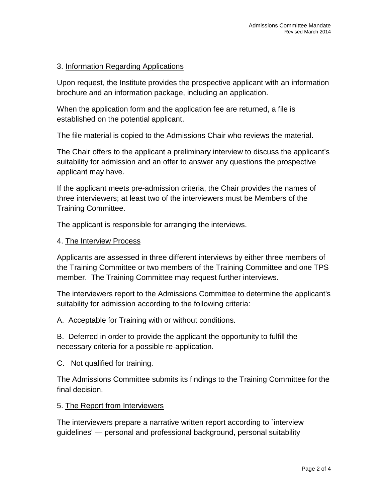### 3. Information Regarding Applications

Upon request, the Institute provides the prospective applicant with an information brochure and an information package, including an application.

When the application form and the application fee are returned, a file is established on the potential applicant.

The file material is copied to the Admissions Chair who reviews the material.

The Chair offers to the applicant a preliminary interview to discuss the applicant's suitability for admission and an offer to answer any questions the prospective applicant may have.

If the applicant meets pre-admission criteria, the Chair provides the names of three interviewers; at least two of the interviewers must be Members of the Training Committee.

The applicant is responsible for arranging the interviews.

#### 4. The Interview Process

Applicants are assessed in three different interviews by either three members of the Training Committee or two members of the Training Committee and one TPS member. The Training Committee may request further interviews.

The interviewers report to the Admissions Committee to determine the applicant's suitability for admission according to the following criteria:

A. Acceptable for Training with or without conditions.

B. Deferred in order to provide the applicant the opportunity to fulfill the necessary criteria for a possible re-application.

C. Not qualified for training.

The Admissions Committee submits its findings to the Training Committee for the final decision.

5. The Report from Interviewers

The interviewers prepare a narrative written report according to `interview guidelines' — personal and professional background, personal suitability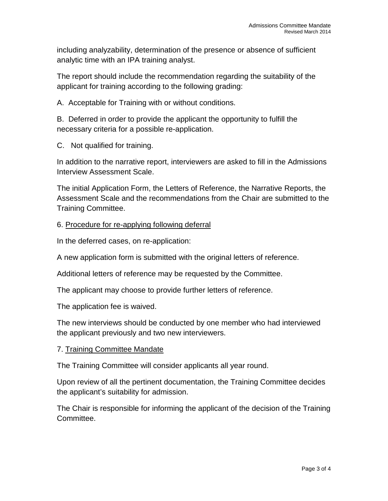including analyzability, determination of the presence or absence of sufficient analytic time with an IPA training analyst.

The report should include the recommendation regarding the suitability of the applicant for training according to the following grading:

A. Acceptable for Training with or without conditions.

B. Deferred in order to provide the applicant the opportunity to fulfill the necessary criteria for a possible re-application.

C. Not qualified for training.

In addition to the narrative report, interviewers are asked to fill in the Admissions Interview Assessment Scale.

The initial Application Form, the Letters of Reference, the Narrative Reports, the Assessment Scale and the recommendations from the Chair are submitted to the Training Committee.

## 6. Procedure for re-applying following deferral

In the deferred cases, on re-application:

A new application form is submitted with the original letters of reference.

Additional letters of reference may be requested by the Committee.

The applicant may choose to provide further letters of reference.

The application fee is waived.

The new interviews should be conducted by one member who had interviewed the applicant previously and two new interviewers.

### 7. Training Committee Mandate

The Training Committee will consider applicants all year round.

Upon review of all the pertinent documentation, the Training Committee decides the applicant's suitability for admission.

The Chair is responsible for informing the applicant of the decision of the Training Committee.